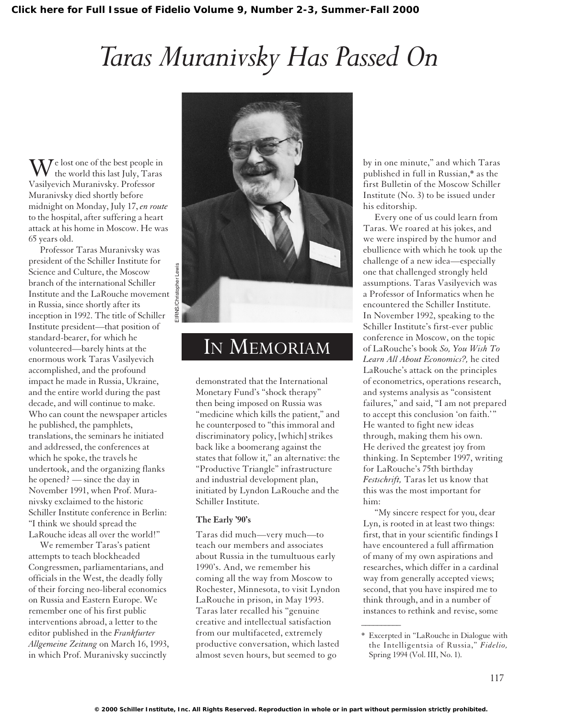## *Taras Muranivsky Has Passed On*

 $\rm W$ e lost one of the best people in the world this last July, Taras Vasilyevich Muranivsky. Professor Muranivsky died shortly before midnight on Monday, July 17, *en route* to the hospital, after suffering a heart attack at his home in Moscow. He was 65 years old.

Professor Taras Muranivsky was president of the Schiller Institute for Science and Culture, the Moscow branch of the international Schiller Institute and the LaRouche movement in Russia, since shortly after its inception in 1992. The title of Schiller Institute president—that position of standard-bearer, for which he volunteered—barely hints at the enormous work Taras Vasilyevich accomplished, and the profound impact he made in Russia, Ukraine, and the entire world during the past decade, and will continue to make. Who can count the newspaper articles he published, the pamphlets, translations, the seminars he initiated and addressed, the conferences at which he spoke, the travels he undertook, and the organizing flanks he opened? — since the day in November 1991, when Prof. Muranivsky exclaimed to the historic Schiller Institute conference in Berlin: "I think we should spread the LaRouche ideas all over the world!"

We remember Taras's patient attempts to teach blockheaded Congressmen, parliamentarians, and officials in the West, the deadly folly of their forcing neo-liberal economics on Russia and Eastern Europe. We remember one of his first public interventions abroad, a letter to the editor published in the *Frankfurter Allgemeine Zeitung* on March 16, 1993, in which Prof. Muranivsky succinctly



## IN MEMORIAM

demonstrated that the International Monetary Fund's "shock therapy" then being imposed on Russia was "medicine which kills the patient," and he counterposed to "this immoral and discriminatory policy, [which] strikes back like a boomerang against the states that follow it," an alternative: the "Productive Triangle" infrastructure and industrial development plan, initiated by Lyndon LaRouche and the Schiller Institute.

## **The Early '90's**

Taras did much—very much—to teach our members and associates about Russia in the tumultuous early 1990's. And, we remember his coming all the way from Moscow to Rochester, Minnesota, to visit Lyndon LaRouche in prison, in May 1993. Taras later recalled his "genuine creative and intellectual satisfaction from our multifaceted, extremely productive conversation, which lasted almost seven hours, but seemed to go

by in one minute," and which Taras published in full in Russian,\* as the first Bulletin of the Moscow Schiller Institute (No. 3) to be issued under his editorship.

Every one of us could learn from Taras. We roared at his jokes, and we were inspired by the humor and ebullience with which he took up the challenge of a new idea—especially one that challenged strongly held assumptions. Taras Vasilyevich was a Professor of Informatics when he encountered the Schiller Institute. In November 1992, speaking to the Schiller Institute's first-ever public conference in Moscow, on the topic of LaRouche's book *So, You Wish To Learn All About Economics?,* he cited LaRouche's attack on the principles of econometrics, operations research, and systems analysis as "consistent failures," and said, "I am not prepared to accept this conclusion 'on faith.'" He wanted to fight new ideas through, making them his own. He derived the greatest joy from thinking. In September 1997, writing for LaRouche's 75th birthday *Festschrift,* Taras let us know that this was the most important for him:

"My sincere respect for you, dear Lyn, is rooted in at least two things: first, that in your scientific findings I have encountered a full affirmation of many of my own aspirations and researches, which differ in a cardinal way from generally accepted views; second, that you have inspired me to think through, and in a number of instances to rethink and revise, some

 $\overline{\phantom{a}}$ 

<sup>\*</sup> Excerpted in "LaRouche in Dialogue with the Intelligentsia of Russia," *Fidelio,* Spring 1994 (Vol. III, No. 1).